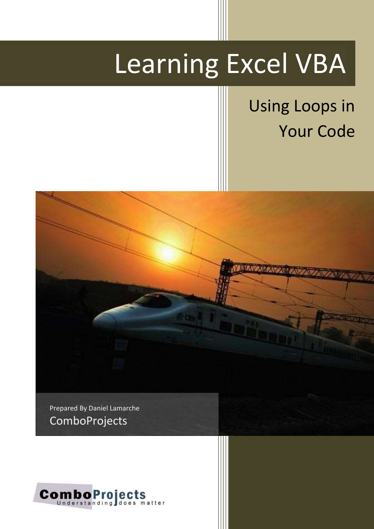# Learning Excel VBA

## Using Loops in Your Code



Prepared By Daniel Lamarche **ComboProjects** 

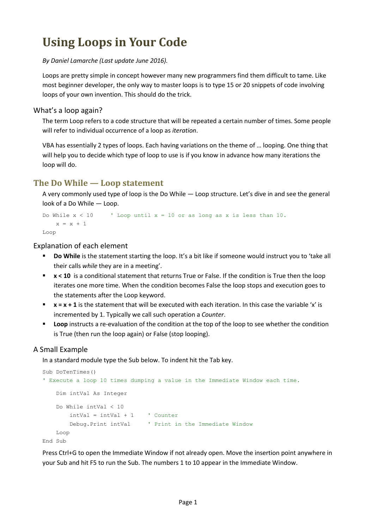### **Using Loops in Your Code**

*By Daniel Lamarche (Last update June 2016).*

Loops are pretty simple in concept however many new programmers find them difficult to tame. Like most beginner developer, the only way to master loops is to type 15 or 20 snippets of code involving loops of your own invention. This should do the trick.

#### What's a loop again?

The term Loop refers to a code structure that will be repeated a certain number of times. Some people will refer to individual occurrence of a loop as *iteration*.

VBA has essentially 2 types of loops. Each having variations on the theme of … looping. One thing that will help you to decide which type of loop to use is if you know in advance how many iterations the loop will do.

#### **The Do While — Loop statement**

A very commonly used type of loop is the Do While — Loop structure. Let's dive in and see the general look of a Do While — Loop.

```
Do While x < 10 ' Loop until x = 10 or as long as x is less than 10.
   x = x + 1Loop
```
Explanation of each element

- **Do While** is the statement starting the loop. It's a bit like if someone would instruct you to 'take all their calls *while* they are in a meeting'.
- **x** < 10 is a conditional statement that returns True or False. If the condition is True then the loop iterates one more time. When the condition becomes False the loop stops and execution goes to the statements after the Loop keyword.
- **x** = x + 1 is the statement that will be executed with each iteration. In this case the variable 'x' is incremented by 1. Typically we call such operation a *Counter*.
- **Loop** instructs a re-evaluation of the condition at the top of the loop to see whether the condition is True (then run the loop again) or False (stop looping).

#### A Small Example

In a standard module type the Sub below. To indent hit the Tab key.

```
Sub DoTenTimes()
' Execute a loop 10 times dumping a value in the Immediate Window each time.
    Dim intVal As Integer
    Do While intVal < 10
       intVal = intVal + 1 ' Counter
        Debug.Print intVal ' Print in the Immediate Window
    Loop
End Sub
```
Press Ctrl+G to open the Immediate Window if not already open. Move the insertion point anywhere in your Sub and hit F5 to run the Sub. The numbers 1 to 10 appear in the Immediate Window.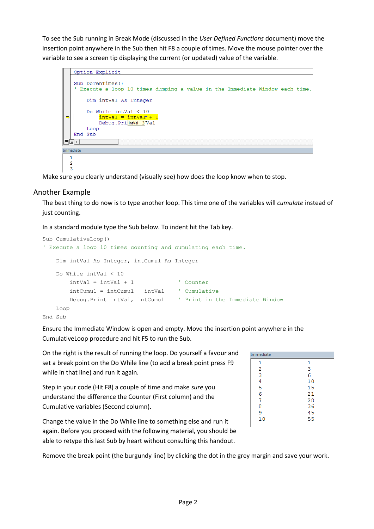To see the Sub running in Break Mode (discussed in the *User Defined Functions* document) move the insertion point anywhere in the Sub then hit F8 a couple of times. Move the mouse pointer over the variable to see a screen tip displaying the current (or updated) value of the variable.

```
Option Explicit
   Sub DoTenTimes ()Execute a loop 10 times dumping a value in the Immediate Window each time.
        Dim intVal As Integer
        Do While intVal < 10intVal = intValr +
\RightarrowDebug.Pri intVal=3Val
        Loop
   End Sub
리트 시
Immediate
  \mathbf{1}\overline{2}\overline{3}
```
Make sure you clearly understand (visually see) how does the loop know when to stop.

#### Another Example

The best thing to do now is to type another loop. This time one of the variables will *cumulate* instead of just counting.

In a standard module type the Sub below. To indent hit the Tab key.

```
Sub CumulativeLoop()
' Execute a loop 10 times counting and cumulating each time.
    Dim intVal As Integer, intCumul As Integer
   Do While intVal < 10intVal = intVal + 1 ' Counter
        intCumul = intCumul + intVal ' Cumulative
        Debug.Print intVal, intCumul ' Print in the Immediate Window
    Loop
End Sub
```
Ensure the Immediate Window is open and empty. Move the insertion point anywhere in the CumulativeLoop procedure and hit F5 to run the Sub.

| Immediate |    |
|-----------|----|
| 1         | 1  |
| 2         | 3  |
| 3         | 6  |
| 4         | 10 |
| 5         | 15 |
| 6         | 21 |
| 7         | 28 |
| 8         | 36 |
| 9         | 45 |
| 10        | 55 |
|           |    |

On the right is the result of running the loop. Do yourself a favour and set a break point on the Do While line (to add a break point press F9 while in that line) and run it again.

Step in your code (Hit F8) a couple of time and make *sure* you understand the difference the Counter (First column) and the Cumulative variables (Second column).

Change the value in the Do While line to something else and run it again. Before you proceed with the following material, you should be able to retype this last Sub by heart without consulting this handout.

Remove the break point (the burgundy line) by clicking the dot in the grey margin and save your work.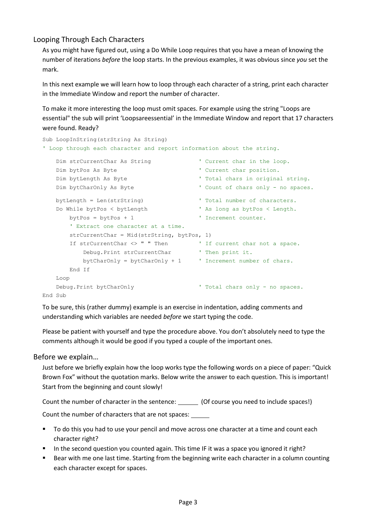#### Looping Through Each Characters

As you might have figured out, using a Do While Loop requires that you have a mean of knowing the number of iterations *before* the loop starts. In the previous examples, it was obvious since *you* set the mark.

In this next example we will learn how to loop through each character of a string, print each character in the Immediate Window and report the number of character.

To make it more interesting the loop must omit spaces. For example using the string "Loops are essential" the sub will print 'Loopsareessential' in the Immediate Window and report that 17 characters were found. Ready?

```
Sub LoopInString(strString As String)
' Loop through each character and report information about the string.
   Dim strCurrentChar As String ' Current char in the loop.
   Dim bytPos As Byte ' Current char position.
   Dim bytLength As Byte \qquad \qquad ' Total chars in original string.
   Dim bytCharOnly As Byte ' Count of chars only - no spaces.
   bytLength = Len(strString) \qquad \qquad ' Total number of characters.
    Do While bytPos < bytLength ' As long as bytPos < Length.
      bytePos = bytePos + 1 ' Increment counter.
        ' Extract one character at a time.
       strCurrentChar = Mid(strString, bytPos, 1)
      If strCurrentChar <> " " Then ' If current char not a space.
          Debug. Print strCurrentChar ' Then print it.
           bytCharOnly = bytCharOnly + 1 ' Increment number of chars.
       End If
    Loop
   Debug.Print bytCharOnly entitled that is not all chars only - no spaces.
End Sub
```
To be sure, this (rather dummy) example is an exercise in indentation, adding comments and understanding which variables are needed *before* we start typing the code.

Please be patient with yourself and type the procedure above. You don't absolutely need to type the comments although it would be good if you typed a couple of the important ones.

#### Before we explain…

Just before we briefly explain how the loop works type the following words on a piece of paper: "Quick Brown Fox" without the quotation marks. Below write the answer to each question. This is important! Start from the beginning and count slowly!

Count the number of character in the sentence: (Of course you need to include spaces!)

Count the number of characters that are not spaces:

- To do this you had to use your pencil and move across one character at a time and count each character right?
- In the second question you counted again. This time IF it was a space you ignored it right?
- Bear with me one last time. Starting from the beginning write each character in a column counting each character except for spaces.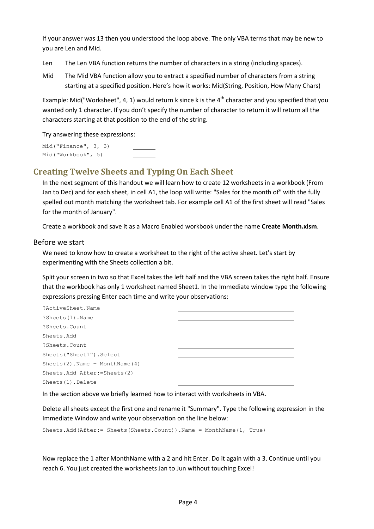If your answer was 13 then you understood the loop above. The only VBA terms that may be new to you are Len and Mid.

- Len The Len VBA function returns the number of characters in a string (including spaces).
- Mid The Mid VBA function allow you to extract a specified number of characters from a string starting at a specified position. Here's how it works: Mid(String, Position, How Many Chars)

Example: Mid("Worksheet", 4, 1) would return k since k is the  $4<sup>th</sup>$  character and you specified that you wanted only 1 character. If you don't specify the number of character to return it will return all the characters starting at that position to the end of the string.

Try answering these expressions:

Mid("Finance", 3, 3) Mid("Workbook", 5)

#### **Creating Twelve Sheets and Typing On Each Sheet**

In the next segment of this handout we will learn how to create 12 worksheets in a workbook (From Jan to Dec) and for each sheet, in cell A1, the loop will write: "Sales for the month of" with the fully spelled out month matching the worksheet tab. For example cell A1 of the first sheet will read "Sales for the month of January".

Create a workbook and save it as a Macro Enabled workbook under the name **Create Month.xlsm**.

#### Before we start

We need to know how to create a worksheet to the right of the active sheet. Let's start by experimenting with the Sheets collection a bit.

Split your screen in two so that Excel takes the left half and the VBA screen takes the right half. Ensure that the workbook has only 1 worksheet named Sheet1. In the Immediate window type the following expressions pressing Enter each time and write your observations:

| ?ActiveSheet.Name                     |  |
|---------------------------------------|--|
| ?Sheets(1).Name                       |  |
| ?Sheets.Count                         |  |
| Sheets.Add                            |  |
| ?Sheets.Count                         |  |
| Sheets ("Sheet1") . Select            |  |
| Sheets $(2)$ . Name = MonthName $(4)$ |  |
| Sheets.Add After: = Sheets (2)        |  |
| Sheets (1). Delete                    |  |

In the section above we briefly learned how to interact with worksheets in VBA.

Delete all sheets except the first one and rename it "Summary". Type the following expression in the Immediate Window and write your observation on the line below:

Sheets.Add(After:= Sheets(Sheets.Count)).Name = MonthName(1, True)

Now replace the 1 after MonthName with a 2 and hit Enter. Do it again with a 3. Continue until you reach 6. You just created the worksheets Jan to Jun without touching Excel!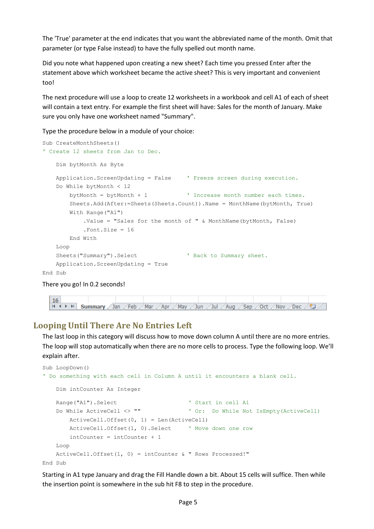The 'True' parameter at the end indicates that you want the abbreviated name of the month. Omit that parameter (or type False instead) to have the fully spelled out month name.

Did you note what happened upon creating a new sheet? Each time you pressed Enter after the statement above which worksheet became the active sheet? This is very important and convenient too!

The next procedure will use a loop to create 12 worksheets in a workbook and cell A1 of each of sheet will contain a text entry. For example the first sheet will have: Sales for the month of January. Make sure you only have one worksheet named "Summary".

Type the procedure below in a module of your choice:

```
Sub CreateMonthSheets()
' Create 12 sheets from Jan to Dec.
    Dim bytMonth As Byte
    Application.ScreenUpdating = False ' Freeze screen during execution.
     Do While bytMonth < 12
        bytMonth = bytMonth + 1 ' Increase month number each times.
        Sheets.Add(After:=Sheets(Sheets.Count)).Name = MonthName(bytMonth, True)
        With Range("A1")
            .Value = "Sales for the month of " & MonthName(bytMonth, False)
             .Font.Size = 16
        End With
    Loop
   Sheets("Summary").Select ' Back to Summary sheet.
    Application.ScreenUpdating = True
End Sub
```

```
There you go! In 0.2 seconds!
```


#### **Looping Until There Are No Entries Left**

The last loop in this category will discuss how to move down column A until there are no more entries. The loop will stop automatically when there are no more cells to process. Type the following loop. We'll explain after.

```
Sub LoopDown()
' Do something with each cell in Column A until it encounters a blank cell.
    Dim intCounter As Integer
   Range("A1").Select ' Start in cell A1
    Do While ActiveCell <> "" ' Or: Do While Not IsEmpty(ActiveCell)
        ActiveCell.Offset(0, 1) = Len(ActiveCell)
        ActiveCell.Offset(1, 0).Select ' Move down one row
        intCounter = intCounter + 1
    Loop
    ActiveCell.Offset(1, 0) = intCounter & " Rows Processed!"
End Sub
```
Starting in A1 type January and drag the Fill Handle down a bit. About 15 cells will suffice. Then while the insertion point is somewhere in the sub hit F8 to step in the procedure.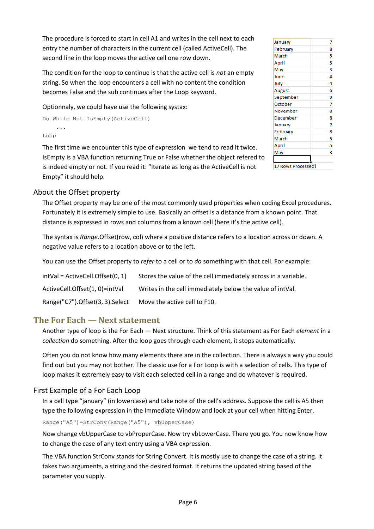The procedure is forced to start in cell A1 and writes in the cell next to each entry the number of characters in the current cell (called ActiveCell). The second line in the loop moves the active cell one row down.

The condition for the loop to continue is that the active cell is *not* an empty string. So when the loop encounters a cell with no content the condition becomes False and the sub continues after the Loop keyword.

Optionnaly, we could have use the following systax:

```
Do While Not IsEmpty(ActiveCell)
     ...
Loop
```
The first time we encounter this type of expression we tend to read it twice. IsEmpty is a VBA function returning True or False whether the object refered to is indeed empty or not. If you read it: "Iterate as long as the ActiveCell is not Empty" it should help.

| January            | 7 |
|--------------------|---|
| February           | 8 |
| March              | 5 |
| April              | 5 |
| May                | 3 |
| June               | 4 |
| July               | 4 |
| August             | 6 |
| September          | 9 |
| October            | 7 |
| November           | 8 |
| December           | 8 |
| January            | 7 |
| February           | 8 |
| March              | 5 |
| April              | 5 |
| May                | 3 |
|                    |   |
| 17 Rows Processed! |   |

#### About the Offset property

The Offset property may be one of the most commonly used properties when coding Excel procedures. Fortunately it is extremely simple to use. Basically an offset is a distance from a known point. That distance is expressed in rows and columns from a known cell (here it's the active cell).

The syntax is *Range*.Offset(row, col) where a positive distance refers to a location across or down. A negative value refers to a location above or to the left.

You can use the Offset property to *refer* to a cell or to *do* something with that cell. For example:

| intVal = ActiveCell.Offset(0, 1) | Stores the value of the cell immediately across in a variable. |
|----------------------------------|----------------------------------------------------------------|
| ActiveCell.Offset(1, 0)=intVal   | Writes in the cell immediately below the value of intVal.      |
| Range("C7").Offset(3, 3).Select  | Move the active cell to F10.                                   |

#### **The For Each — Next statement**

Another type of loop is the For Each — Next structure. Think of this statement as For Each *element* in a *collection* do something. After the loop goes through each element, it stops automatically.

Often you do not know how many elements there are in the collection. There is always a way you could find out but you may not bother. The classic use for a For Loop is with a selection of cells. This type of loop makes it extremely easy to visit each selected cell in a range and do whatever is required.

#### First Example of a For Each Loop

In a cell type "january" (in lowercase) and take note of the cell's address. Suppose the cell is A5 then type the following expression in the Immediate Window and look at your cell when hitting Enter.

Range("A5")=StrConv(Range("A5"), vbUpperCase)

Now change vbUpperCase to vbProperCase. Now try vbLowerCase. There you go. You now know how to change the case of any text entry using a VBA expression.

The VBA function StrConv stands for String Convert. It is mostly use to change the case of a string. It takes two arguments, a string and the desired format. It returns the updated string based of the parameter you supply.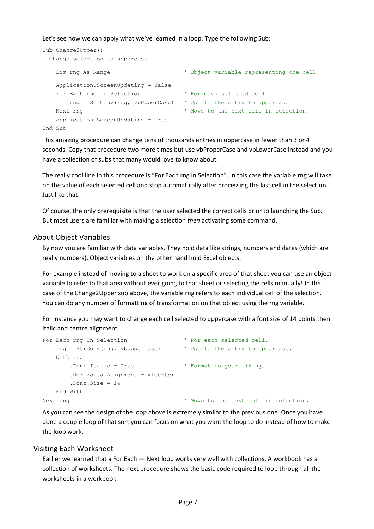Let's see how we can apply what we've learned in a loop. Type the following Sub:

```
Sub Change2Upper()
' Change selection to uppercase.
   Dim rng As Range The Contract Contract of Contract Object variable representing one cell
    Application.ScreenUpdating = False
    For Each rng In Selection ' For each selected cell
        rng = StrConv(rng, vbUpperCase) ' Update the entry to Uppercase
    Next rng ' Move to the next cell in selection
    Application.ScreenUpdating = True
End Sub
```
This amazing procedure can change tens of thousands entries in uppercase in fewer than 3 or 4 seconds. Copy that procedure two more times but use vbProperCase and vbLowerCase instead and you have a collection of subs that many would love to know about.

The really cool line in this procedure is "For Each rng In Selection". In this case the variable rng will take on the value of each selected cell and stop automatically after processing the last cell in the selection. Just like that!

Of course, the only prerequisite is that the user selected the correct cells prior to launching the Sub. But most users are familiar with making a selection *then* activating some command.

#### About Object Variables

By now you are familiar with data variables. They hold data like strings, numbers and dates (which are really numbers). Object variables on the other hand hold Excel objects.

For example instead of moving to a sheet to work on a specific area of that sheet you can use an object variable to refer to that area without ever going to that sheet or selecting the cells manually! In the case of the Change2Upper sub above, the variable rng refers to each individual cell of the selection. You can do any number of formatting of transformation on that object using the rng variable.

For instance you may want to change each cell selected to uppercase with a font size of 14 points then italic and centre alignment.

```
For Each rng In Selection The Contract Port each selected cell.
    rng = StrConv(rng, vbUpperCase) ' Update the entry to Uppercase.
    With rng
       .Font.Italic = True ' Format to your liking.
       .HorizontalAlignment = xlCenter
       .Font.Size = 14
    End With
Next rng ' Move to the next cell in selection.
```
As you can see the design of the loop above is extremely similar to the previous one. Once you have done a couple loop of that sort you can focus on what you want the loop to do instead of how to make the loop work.

#### Visiting Each Worksheet

Earlier we learned that a For Each — Next loop works very well with collections. A workbook has a collection of worksheets. The next procedure shows the basic code required to loop through all the worksheets in a workbook.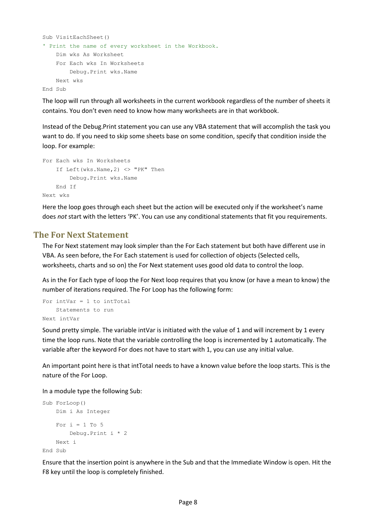```
Sub VisitEachSheet()
' Print the name of every worksheet in the Workbook.
    Dim wks As Worksheet
    For Each wks In Worksheets
        Debug.Print wks.Name
    Next wks
End Sub
```
The loop will run through all worksheets in the current workbook regardless of the number of sheets it contains. You don't even need to know how many worksheets are in that workbook.

Instead of the Debug.Print statement you can use any VBA statement that will accomplish the task you want to do. If you need to skip some sheets base on some condition, specify that condition inside the loop. For example:

```
For Each wks In Worksheets
     If Left(wks.Name,2) <> "PK" Then
         Debug.Print wks.Name
    End If
Next wks
```
Here the loop goes through each sheet but the action will be executed only if the worksheet's name does *not* start with the letters 'PK'. You can use any conditional statements that fit you requirements.

#### **The For Next Statement**

The For Next statement may look simpler than the For Each statement but both have different use in VBA. As seen before, the For Each statement is used for collection of objects (Selected cells, worksheets, charts and so on) the For Next statement uses good old data to control the loop.

As in the For Each type of loop the For Next loop requires that you know (or have a mean to know) the number of iterations required. The For Loop has the following form:

```
For intVar = 1 to intTotal
    Statements to run
Next intVar
```
Sound pretty simple. The variable intVar is initiated with the value of 1 and will increment by 1 every time the loop runs. Note that the variable controlling the loop is incremented by 1 automatically. The variable after the keyword For does not have to start with 1, you can use any initial value.

An important point here is that intTotal needs to have a known value before the loop starts. This is the nature of the For Loop.

In a module type the following Sub:

```
Sub ForLoop()
    Dim i As Integer
    For i = 1 To 5
         Debug.Print i * 2
    Next i
End Sub
```
Ensure that the insertion point is anywhere in the Sub and that the Immediate Window is open. Hit the F8 key until the loop is completely finished.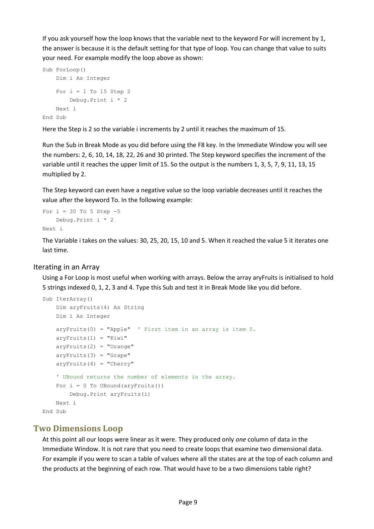If you ask yourself how the loop knows that the variable next to the keyword For will increment by 1, the answer is because it is the default setting for that type of loop. You can change that value to suits your need. For example modify the loop above as shown:

```
Sub ForLoop()
    Dim i As Integer
   For i = 1 To 15 Step 2
        Debug.Print i * 2
    Next i
End Sub
```
Here the Step is 2 so the variable i increments by 2 until it reaches the maximum of 15.

Run the Sub in Break Mode as you did before using the F8 key. In the Immediate Window you will see the numbers: 2, 6, 10, 14, 18, 22, 26 and 30 printed. The Step keyword specifies the increment of the variable until it reaches the upper limit of 15. So the output is the numbers 1, 3, 5, 7, 9, 11, 13, 15 multiplied by 2.

The Step keyword can even have a negative value so the loop variable decreases until it reaches the value after the keyword To. In the following example:

```
For i = 30 To 5 Step -5 Debug.Print i * 2
Next i
```
The Variable i takes on the values: 30, 25, 20, 15, 10 and 5. When it reached the value 5 it iterates one last time.

#### Iterating in an Array

Using a For Loop is most useful when working with arrays. Below the array aryFruits is initialised to hold 5 strings indexed 0, 1, 2, 3 and 4. Type this Sub and test it in Break Mode like you did before.

```
Sub IterArray()
    Dim aryFruits(4) As String
    Dim i As Integer
    aryFruits(0) = "Apple" ' First item in an array is item 0.
   aryFruits(1) = "Kivi"aryFruits(2) = "Orange"aryFruits(3) = "Grape"aryFruits(4) = "Cherry" ' UBound returns the number of elements in the array.
   For i = 0 To UBound (aryFruits())
        Debug.Print aryFruits(i)
    Next i
End Sub
```
#### **Two Dimensions Loop**

At this point all our loops were linear as it were. They produced only *one* column of data in the Immediate Window. It is not rare that you need to create loops that examine two dimensional data. For example if you were to scan a table of values where all the states are at the top of each column and the products at the beginning of each row. That would have to be a two dimensions table right?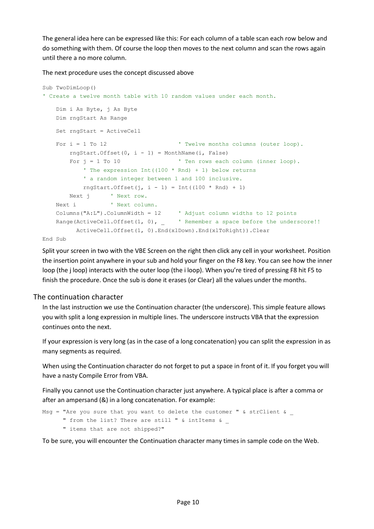The general idea here can be expressed like this: For each column of a table scan each row below and do something with them. Of course the loop then moves to the next column and scan the rows again until there a no more column.

The next procedure uses the concept discussed above

```
Sub TwoDimLoop()
' Create a twelve month table with 10 random values under each month.
    Dim i As Byte, j As Byte
    Dim rngStart As Range
    Set rngStart = ActiveCell
   For i = 1 To 12 \blacksquare \blacksquare Twelve months columns (outer loop).
       rngStart.Offset(0, i - 1) = MonthName(i, False)
       For j = 1 To 10 ' Ten rows each column (inner loop).
            ' The expression Int((100 * Rnd) + 1) below returns
            ' a random integer between 1 and 100 inclusive.
           rngStart.Offset(j, i - 1) = Int((100 * Rnd) + 1)Next j ' Next row.
   Next i ' Next column.
    Columns("A:L").ColumnWidth = 12 ' Adjust column widths to 12 points
   Range(ActiveCell.Offset(1, 0), _ ' Remember a space before the underscore!!
          ActiveCell.Offset(1, 0).End(xlDown).End(xlToRight)).Clear
```
End Sub

Split your screen in two with the VBE Screen on the right then click any cell in your worksheet. Position the insertion point anywhere in your sub and hold your finger on the F8 key. You can see how the inner loop (the j loop) interacts with the outer loop (the i loop). When you're tired of pressing F8 hit F5 to finish the procedure. Once the sub is done it erases (or Clear) all the values under the months.

#### The continuation character

In the last instruction we use the Continuation character (the underscore). This simple feature allows you with split a long expression in multiple lines. The underscore instructs VBA that the expression continues onto the next.

If your expression is very long (as in the case of a long concatenation) you can split the expression in as many segments as required.

When using the Continuation character do not forget to put a space in front of it. If you forget you will have a nasty Compile Error from VBA.

Finally you cannot use the Continuation character just anywhere. A typical place is after a comma or after an ampersand (&) in a long concatenation. For example:

```
Msg = "Are you sure that you want to delete the customer " \& strClient \&" from the list? There are still " & intItems &
       " items that are not shipped?"
```
To be sure, you will encounter the Continuation character many times in sample code on the Web.